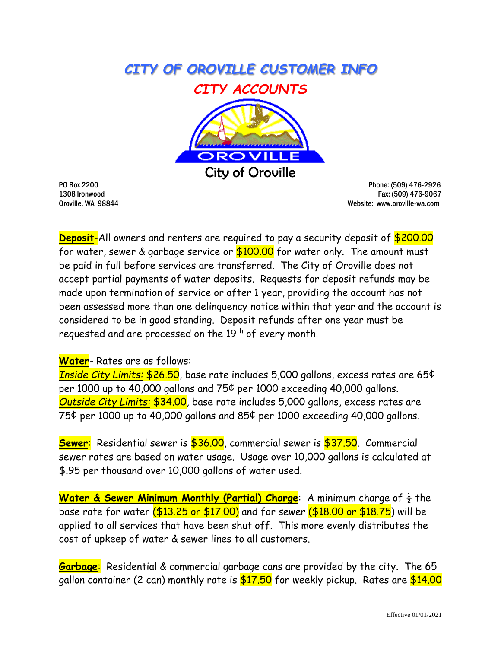



PO Box 2200 Phone: (509) 476-2926 1308 Ironwood Fax: (509) 476-9067 Oroville, WA 98844 Website: www.oroville-wa.com

**Deposit**-All owners and renters are required to pay a security deposit of \$200.00 for water, sewer & garbage service or  $$100.00$  for water only. The amount must be paid in full before services are transferred. The City of Oroville does not accept partial payments of water deposits. Requests for deposit refunds may be made upon termination of service or after 1 year, providing the account has not been assessed more than one delinquency notice within that year and the account is considered to be in good standing. Deposit refunds after one year must be requested and are processed on the 19<sup>th</sup> of every month.

## **Water**- Rates are as follows:

*Inside City Limits:* \$26.50, base rate includes 5,000 gallons, excess rates are 65¢ per 1000 up to 40,000 gallons and 75¢ per 1000 exceeding 40,000 gallons. *Outside City Limits:* \$34.00, base rate includes 5,000 gallons, excess rates are 75¢ per 1000 up to 40,000 gallons and 85¢ per 1000 exceeding 40,000 gallons.

**Sewer**: Residential sewer is \$36.00, commercial sewer is \$37.50. Commercial sewer rates are based on water usage. Usage over 10,000 gallons is calculated at \$.95 per thousand over 10,000 gallons of water used.

**Water & Sewer Minimum Monthly (Partial) Charge**: A minimum charge of  $\frac{1}{2}$  the base rate for water (\$13.25 or \$17.00) and for sewer (\$18.00 or \$18.75) will be applied to all services that have been shut off. This more evenly distributes the cost of upkeep of water & sewer lines to all customers.

**Garbage**: Residential & commercial garbage cans are provided by the city. The 65 gallon container (2 can) monthly rate is \$17.50 for weekly pickup. Rates are \$14.00